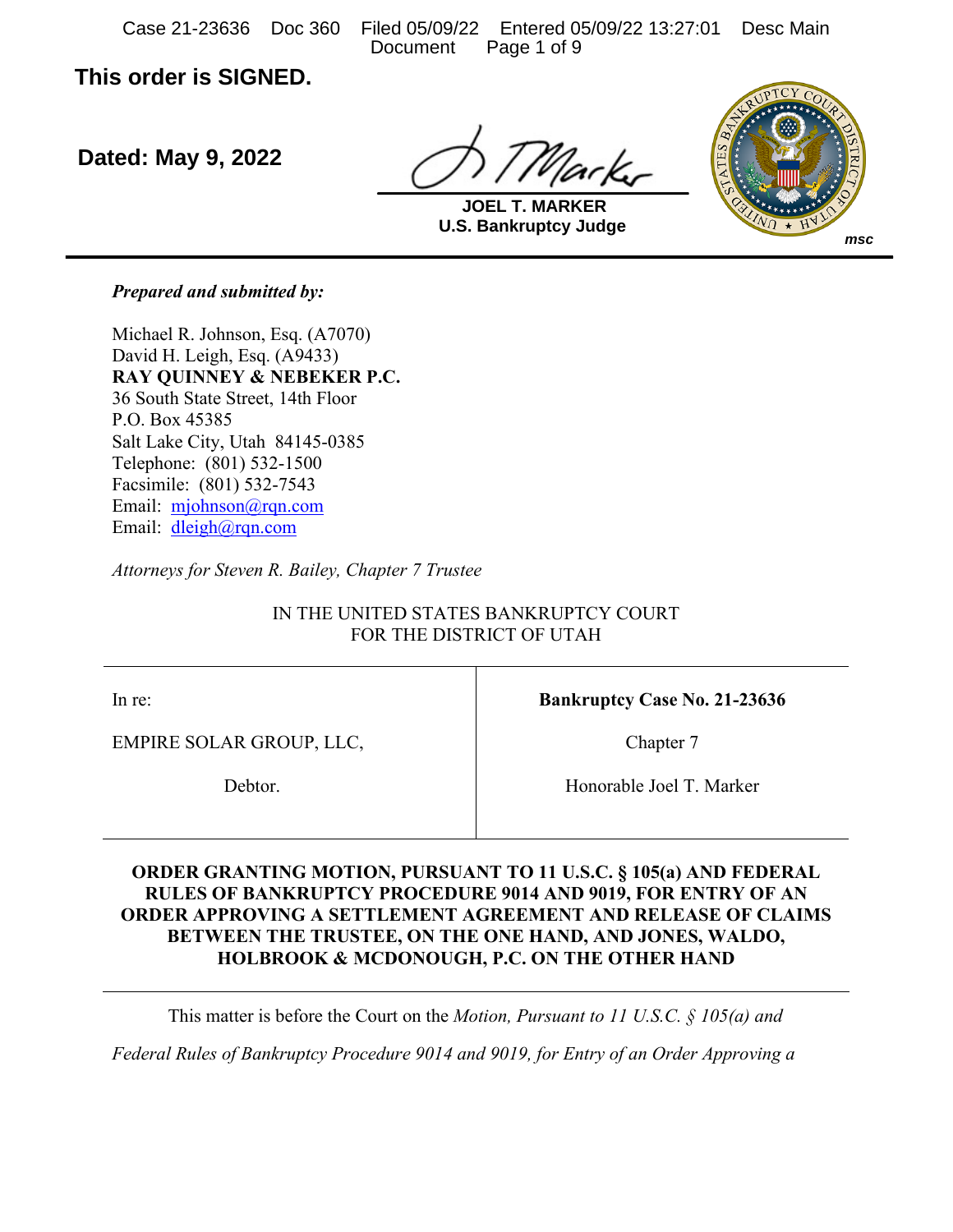Case 21-23636 Doc 360 Filed 05/09/22 Entered 05/09/22 13:27:01 Desc Main Document Page 1 of 9

**This order is SIGNED.**

**Dated: May 9, 2022**

ark,



**U.S. Bankruptcy Judge JOEL T. MARKER**

*Prepared and submitted by:*

Michael R. Johnson, Esq. (A7070) David H. Leigh, Esq. (A9433) **RAY QUINNEY & NEBEKER P.C.** 36 South State Street, 14th Floor P.O. Box 45385 Salt Lake City, Utah 84145-0385 Telephone: (801) 532-1500 Facsimile: (801) 532-7543 Email: mjohnson@rqn.com Email: dleigh@rqn.com

*Attorneys for Steven R. Bailey, Chapter 7 Trustee*

IN THE UNITED STATES BANKRUPTCY COURT FOR THE DISTRICT OF UTAH

In re:

EMPIRE SOLAR GROUP, LLC,

Debtor.

**Bankruptcy Case No. 21-23636**

Chapter 7

Honorable Joel T. Marker

### **ORDER GRANTING MOTION, PURSUANT TO 11 U.S.C. § 105(a) AND FEDERAL RULES OF BANKRUPTCY PROCEDURE 9014 AND 9019, FOR ENTRY OF AN ORDER APPROVING A SETTLEMENT AGREEMENT AND RELEASE OF CLAIMS BETWEEN THE TRUSTEE, ON THE ONE HAND, AND JONES, WALDO, HOLBROOK & MCDONOUGH, P.C. ON THE OTHER HAND**

This matter is before the Court on the *Motion, Pursuant to 11 U.S.C. § 105(a) and* 

*Federal Rules of Bankruptcy Procedure 9014 and 9019, for Entry of an Order Approving a*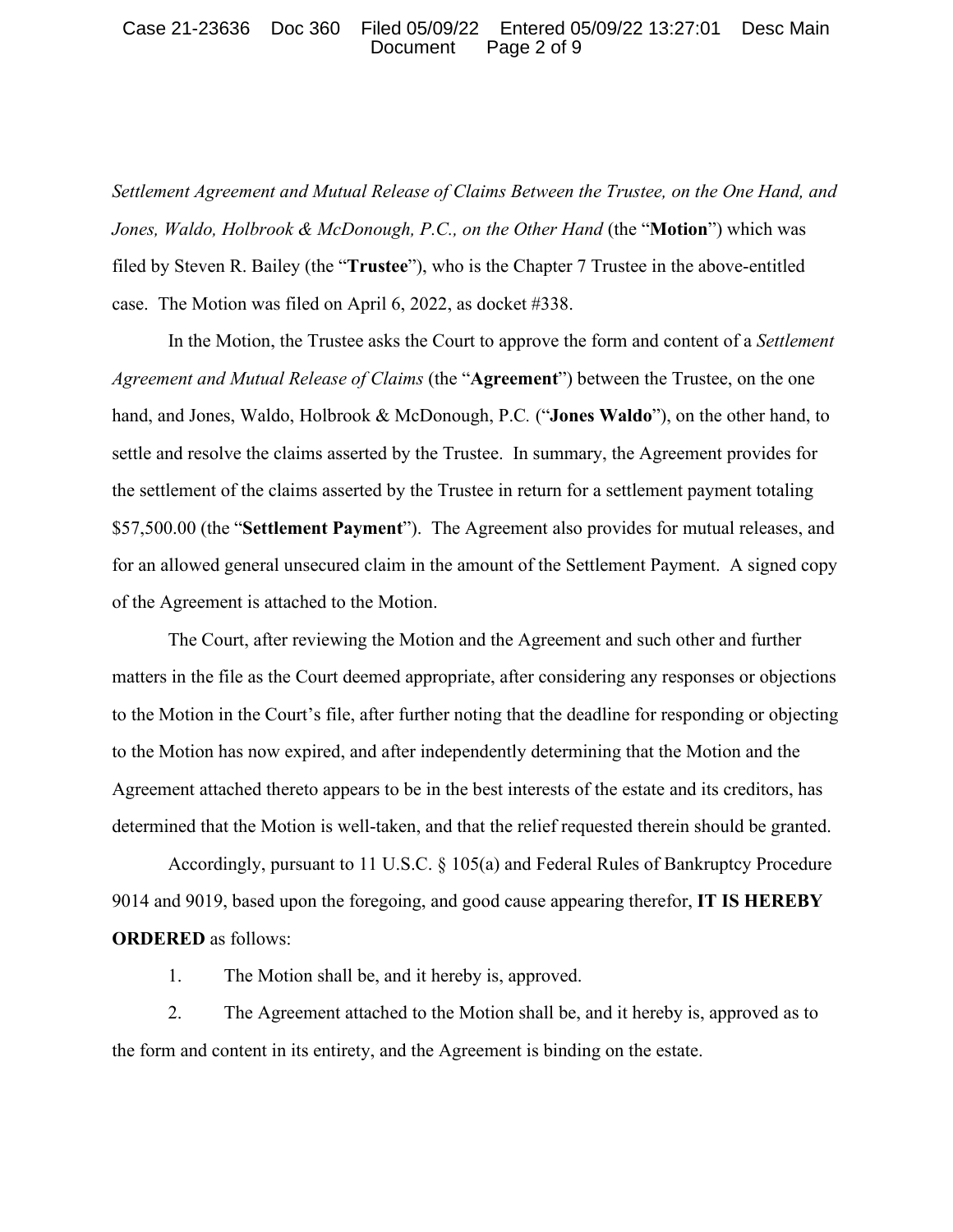#### Case 21-23636 Doc 360 Filed 05/09/22 Entered 05/09/22 13:27:01 Desc Main Document Page 2 of 9

*Settlement Agreement and Mutual Release of Claims Between the Trustee, on the One Hand, and Jones, Waldo, Holbrook & McDonough, P.C., on the Other Hand* (the "**Motion**") which was filed by Steven R. Bailey (the "**Trustee**"), who is the Chapter 7 Trustee in the above-entitled case. The Motion was filed on April 6, 2022, as docket #338.

In the Motion, the Trustee asks the Court to approve the form and content of a *Settlement Agreement and Mutual Release of Claims* (the "**Agreement**") between the Trustee, on the one hand, and Jones, Waldo, Holbrook & McDonough, P.C*.* ("**Jones Waldo**"), on the other hand, to settle and resolve the claims asserted by the Trustee. In summary, the Agreement provides for the settlement of the claims asserted by the Trustee in return for a settlement payment totaling \$57,500.00 (the "**Settlement Payment**"). The Agreement also provides for mutual releases, and for an allowed general unsecured claim in the amount of the Settlement Payment. A signed copy of the Agreement is attached to the Motion.

The Court, after reviewing the Motion and the Agreement and such other and further matters in the file as the Court deemed appropriate, after considering any responses or objections to the Motion in the Court's file, after further noting that the deadline for responding or objecting to the Motion has now expired, and after independently determining that the Motion and the Agreement attached thereto appears to be in the best interests of the estate and its creditors, has determined that the Motion is well-taken, and that the relief requested therein should be granted.

Accordingly, pursuant to 11 U.S.C. § 105(a) and Federal Rules of Bankruptcy Procedure 9014 and 9019, based upon the foregoing, and good cause appearing therefor, **IT IS HEREBY ORDERED** as follows:

1. The Motion shall be, and it hereby is, approved.

2. The Agreement attached to the Motion shall be, and it hereby is, approved as to the form and content in its entirety, and the Agreement is binding on the estate.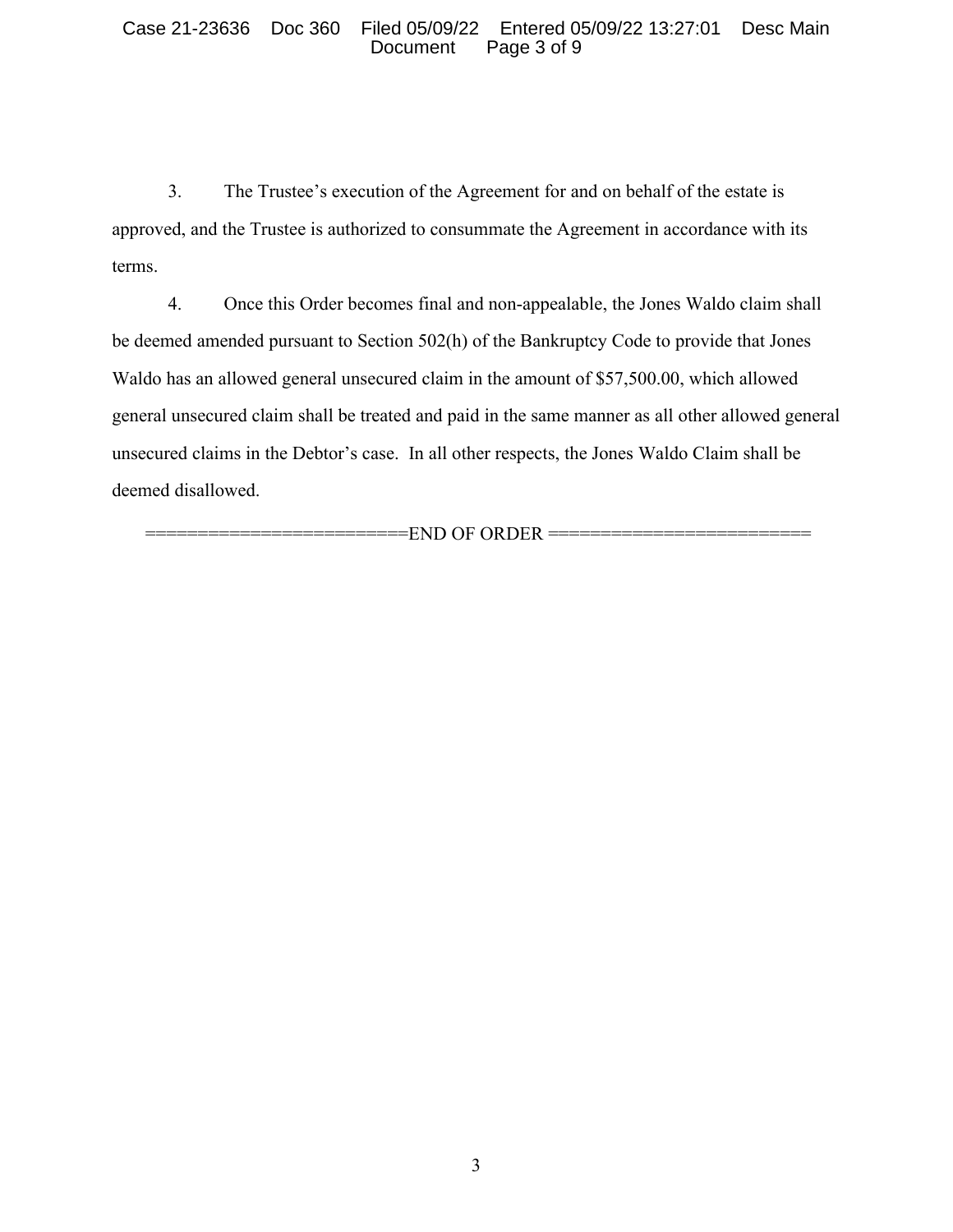#### Case 21-23636 Doc 360 Filed 05/09/22 Entered 05/09/22 13:27:01 Desc Main Page 3 of 9

3. The Trustee's execution of the Agreement for and on behalf of the estate is approved, and the Trustee is authorized to consummate the Agreement in accordance with its terms.

4. Once this Order becomes final and non-appealable, the Jones Waldo claim shall be deemed amended pursuant to Section 502(h) of the Bankruptcy Code to provide that Jones Waldo has an allowed general unsecured claim in the amount of \$57,500.00, which allowed general unsecured claim shall be treated and paid in the same manner as all other allowed general unsecured claims in the Debtor's case. In all other respects, the Jones Waldo Claim shall be deemed disallowed.

 $=$ END OF ORDER  $=$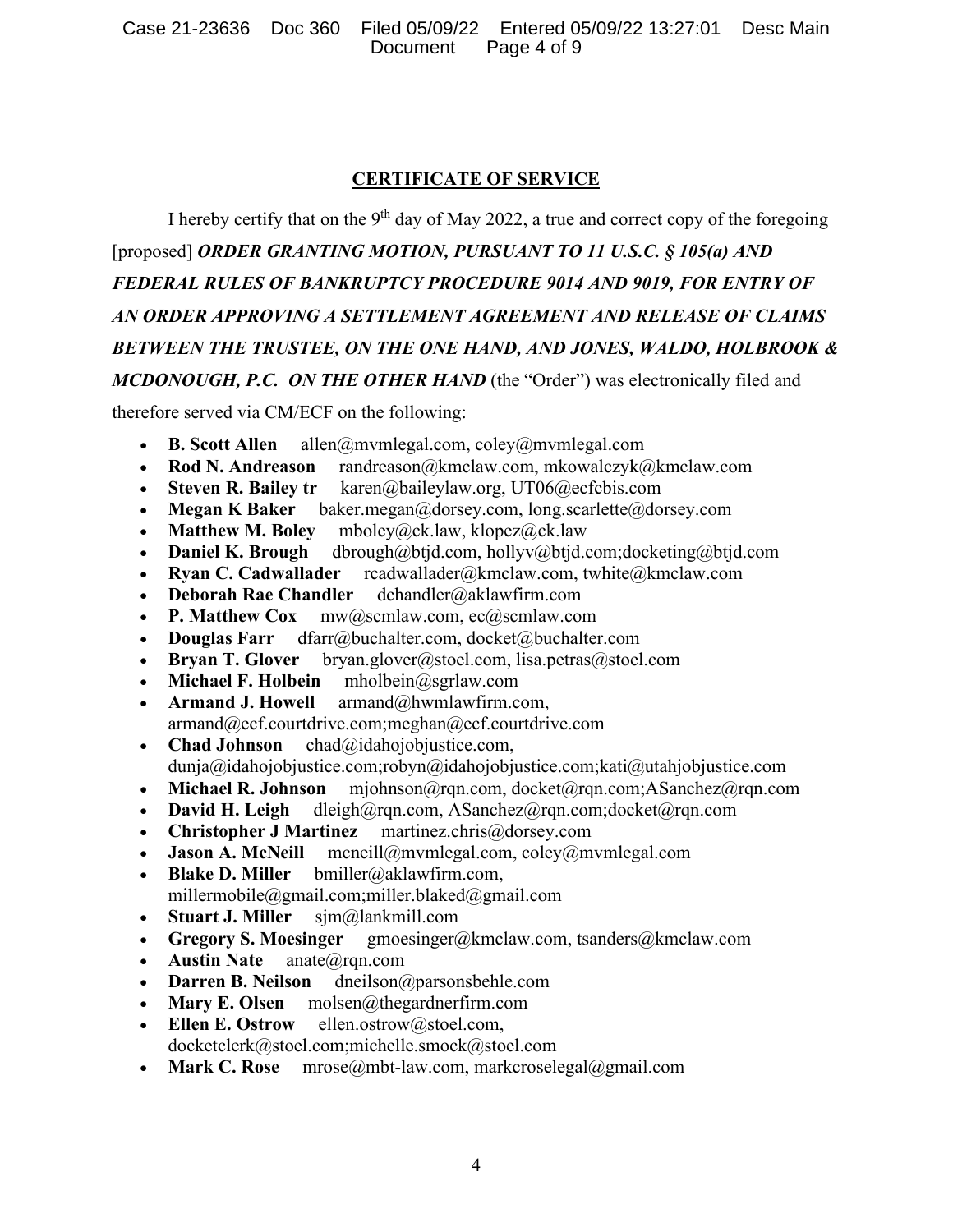# **CERTIFICATE OF SERVICE**

I hereby certify that on the  $9<sup>th</sup>$  day of May 2022, a true and correct copy of the foregoing [proposed] *ORDER GRANTING MOTION, PURSUANT TO 11 U.S.C. § 105(a) AND FEDERAL RULES OF BANKRUPTCY PROCEDURE 9014 AND 9019, FOR ENTRY OF AN ORDER APPROVING A SETTLEMENT AGREEMENT AND RELEASE OF CLAIMS BETWEEN THE TRUSTEE, ON THE ONE HAND, AND JONES, WALDO, HOLBROOK & MCDONOUGH, P.C. ON THE OTHER HAND* (the "Order") was electronically filed and

therefore served via CM/ECF on the following:

- **B. Scott Allen** allen@mvmlegal.com, coley@mvmlegal.com
- **Rod N. Andreason** randreason@kmclaw.com, mkowalczyk@kmclaw.com
- **Steven R. Bailey tr** karen@baileylaw.org, UT06@ecfcbis.com
- **Megan K Baker** baker.megan@dorsey.com, long.scarlette@dorsey.com
- 
- **Matthew M. Boley** mboley@ck.law, klopez@ck.law • **Daniel K. Brough** dbrough@btjd.com, hollyv@btjd.com;docketing@btjd.com
- **Ryan C. Cadwallader** rcadwallader@kmclaw.com, twhite@kmclaw.com
- **Deborah Rae Chandler** dchandler@aklawfirm.com
- **P. Matthew Cox** mw@scmlaw.com, ec@scmlaw.com
- **Douglas Farr** dfarr@buchalter.com, docket@buchalter.com
- **Bryan T. Glover** bryan.glover@stoel.com, lisa.petras@stoel.com
- **Michael F. Holbein** mholbein@sgrlaw.com
- **Armand J. Howell** armand@hwmlawfirm.com, armand@ecf.courtdrive.com;meghan@ecf.courtdrive.com
- **Chad Johnson** chad@idahojobjustice.com, dunja@idahojobjustice.com;robyn@idahojobjustice.com;kati@utahjobjustice.com
- **Michael R. Johnson** mjohnson@rqn.com, docket@rqn.com;ASanchez@rqn.com
- **David H. Leigh** dleigh@rqn.com, ASanchez@rqn.com;docket@rqn.com
- **Christopher J Martinez** martinez.chris@dorsey.com
- **Jason A. McNeill** mcneill@mvmlegal.com, coley@mvmlegal.com
- **Blake D. Miller** bmiller@aklawfirm.com,
- millermobile@gmail.com;miller.blaked@gmail.com
- **Stuart J. Miller** sjm@lankmill.com
- **Gregory S. Moesinger** gmoesinger@kmclaw.com, tsanders@kmclaw.com
- **Austin Nate** anate@rqn.com
- **Darren B. Neilson** dneilson@parsonsbehle.com<br>• **Mary E. Olsen** molsen@thegardnerfirm.com
- **Mary E. Olsen** molsen@thegardnerfirm.com
- **Ellen E. Ostrow** ellen.ostrow@stoel.com, docketclerk@stoel.com;michelle.smock@stoel.com
- **Mark C. Rose** mrose@mbt-law.com, markcroselegal@gmail.com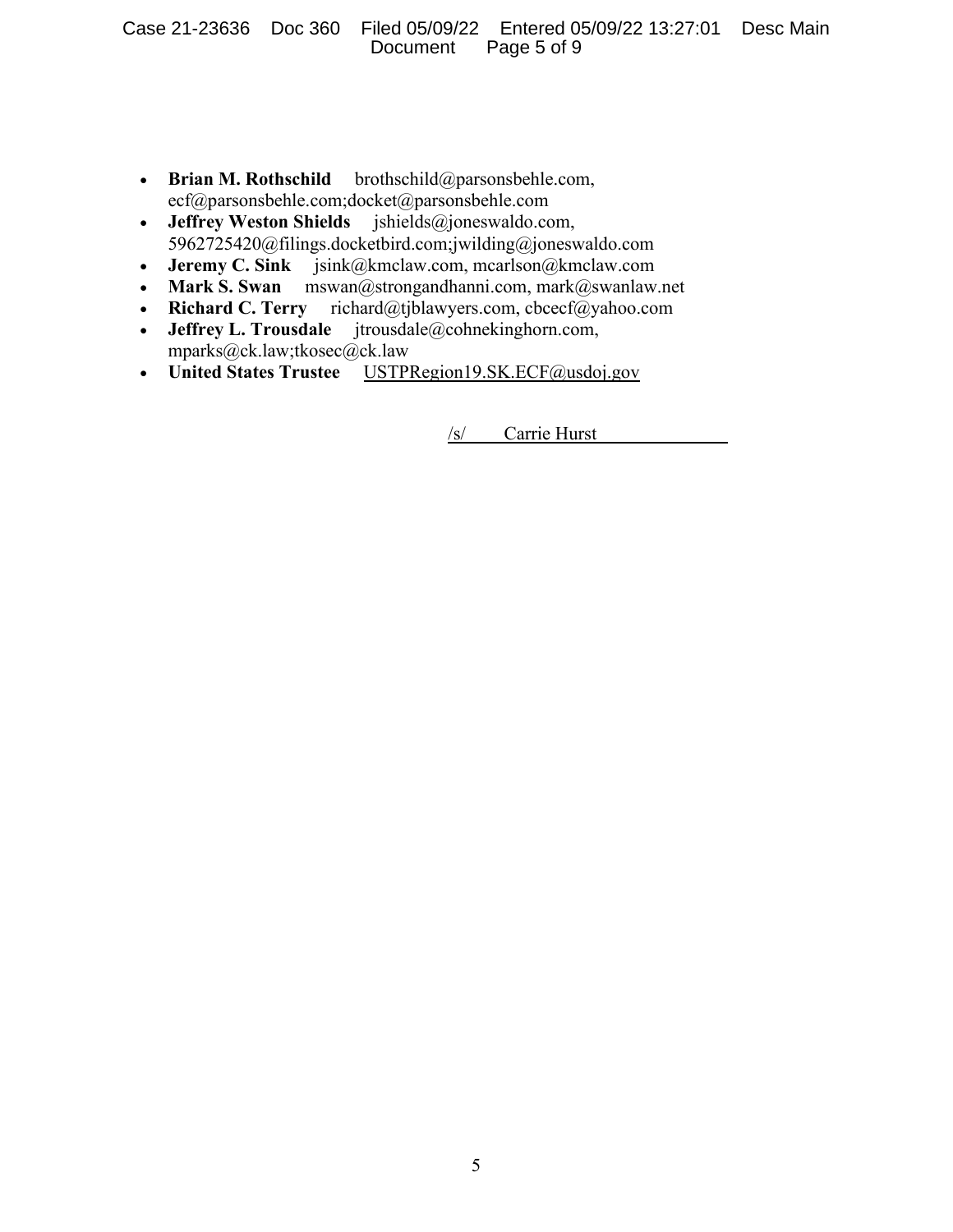- **Brian M. Rothschild** brothschild@parsonsbehle.com, ecf@parsonsbehle.com;docket@parsonsbehle.com
- **Jeffrey Weston Shields** jshields@joneswaldo.com, 5962725420@filings.docketbird.com;jwilding@joneswaldo.com
- **Jeremy C. Sink** jsink@kmclaw.com, mcarlson@kmclaw.com
- **Mark S. Swan** mswan@strongandhanni.com, mark@swanlaw.net<br>• **Richard C. Terry** richard@tjblawyers.com, cbcecf@yahoo.com
- richard@tjblawyers.com, cbcecf@yahoo.com
- **Jeffrey L. Trousdale** jtrousdale@cohnekinghorn.com, mparks@ck.law;tkosec@ck.law
- **United States Trustee** USTPRegion19.SK.ECF@usdoj.gov

/s/ Carrie Hurst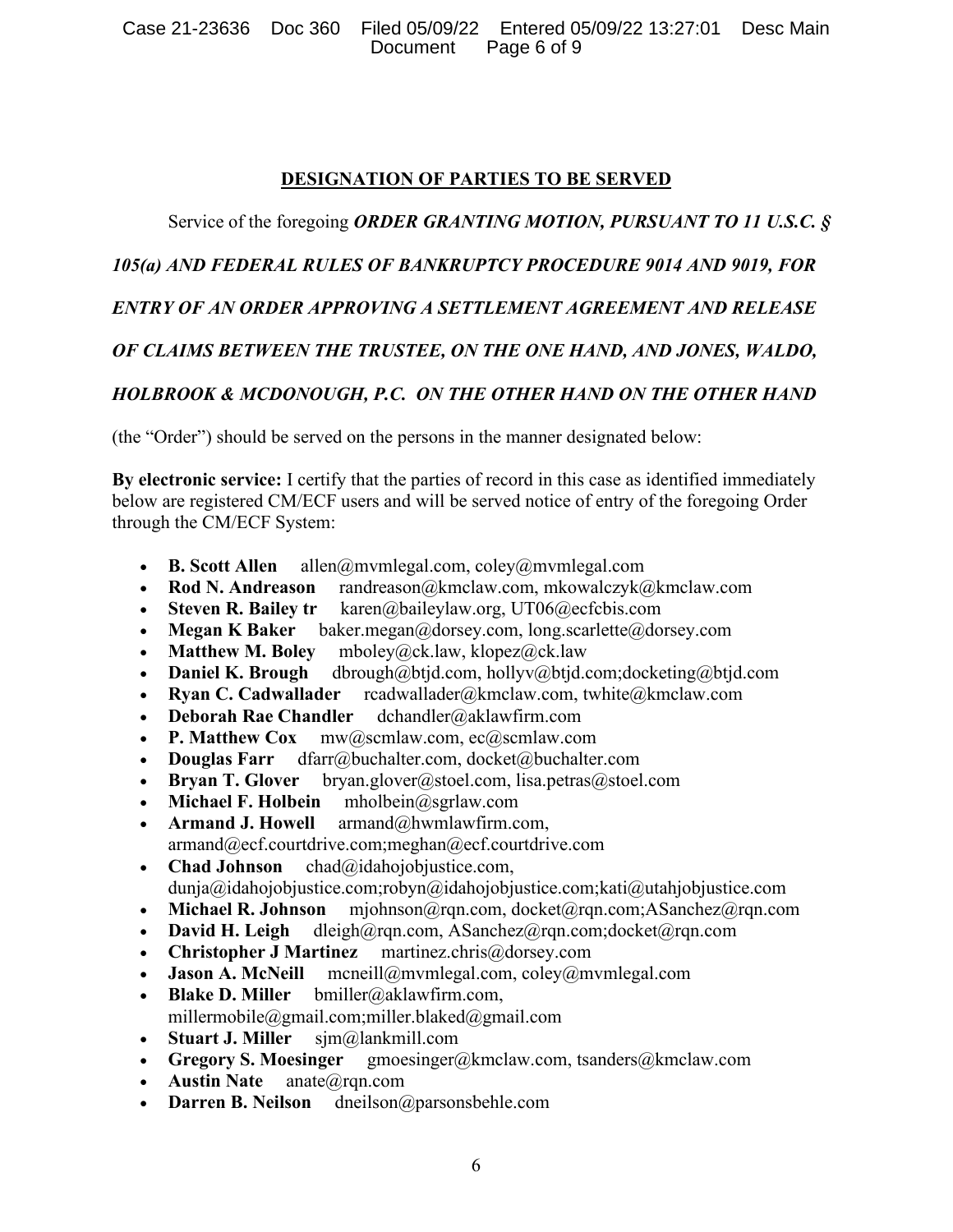Case 21-23636 Doc 360 Filed 05/09/22 Entered 05/09/22 13:27:01 Desc Main Document Page 6 of 9

#### **DESIGNATION OF PARTIES TO BE SERVED**

## Service of the foregoing *ORDER GRANTING MOTION, PURSUANT TO 11 U.S.C. §*

## *105(a) AND FEDERAL RULES OF BANKRUPTCY PROCEDURE 9014 AND 9019, FOR*

## *ENTRY OF AN ORDER APPROVING A SETTLEMENT AGREEMENT AND RELEASE*

## *OF CLAIMS BETWEEN THE TRUSTEE, ON THE ONE HAND, AND JONES, WALDO,*

## *HOLBROOK & MCDONOUGH, P.C. ON THE OTHER HAND ON THE OTHER HAND*

(the "Order") should be served on the persons in the manner designated below:

**By electronic service:** I certify that the parties of record in this case as identified immediately below are registered CM/ECF users and will be served notice of entry of the foregoing Order through the CM/ECF System:

- **B. Scott Allen** allen@mvmlegal.com, coley@mvmlegal.com
- **Rod N. Andreason** randreason@kmclaw.com, mkowalczyk@kmclaw.com
- **Steven R. Bailey tr** karen@baileylaw.org, UT06@ecfcbis.com
- **Megan K Baker** baker.megan@dorsey.com, long.scarlette@dorsey.com
- **Matthew M. Boley** mboley@ck.law, klopez@ck.law
- **Daniel K. Brough** dbrough@btjd.com, hollyv@btjd.com;docketing@btjd.com
- **Ryan C. Cadwallader** rcadwallader@kmclaw.com, twhite@kmclaw.com
- **Deborah Rae Chandler** dchandler@aklawfirm.com
- **P. Matthew Cox** mw@scmlaw.com, ec@scmlaw.com
- **Douglas Farr** dfarr@buchalter.com, docket@buchalter.com
- **Bryan T. Glover** bryan.glover@stoel.com, lisa.petras@stoel.com
- **Michael F. Holbein** mholbein@sgrlaw.com
- **Armand J. Howell** armand@hwmlawfirm.com, armand@ecf.courtdrive.com;meghan@ecf.courtdrive.com
- **Chad Johnson** chad@idahojobjustice.com, dunja@idahojobjustice.com;robyn@idahojobjustice.com;kati@utahjobjustice.com
- **Michael R. Johnson** mjohnson@rqn.com, docket@rqn.com;ASanchez@rqn.com
- **David H. Leigh** dleigh@rqn.com, ASanchez@rqn.com;docket@rqn.com
- **Christopher J Martinez** martinez.chris@dorsey.com
- **Jason A. McNeill** mcneill@mvmlegal.com, coley@mvmlegal.com
- **Blake D. Miller** bmiller@aklawfirm.com, millermobile@gmail.com;miller.blaked@gmail.com
- **Stuart J. Miller** sjm@lankmill.com
- **Gregory S. Moesinger** gmoesinger@kmclaw.com, tsanders@kmclaw.com
- **Austin Nate** anate@rqn.com
- **Darren B. Neilson** dneilson@parsonsbehle.com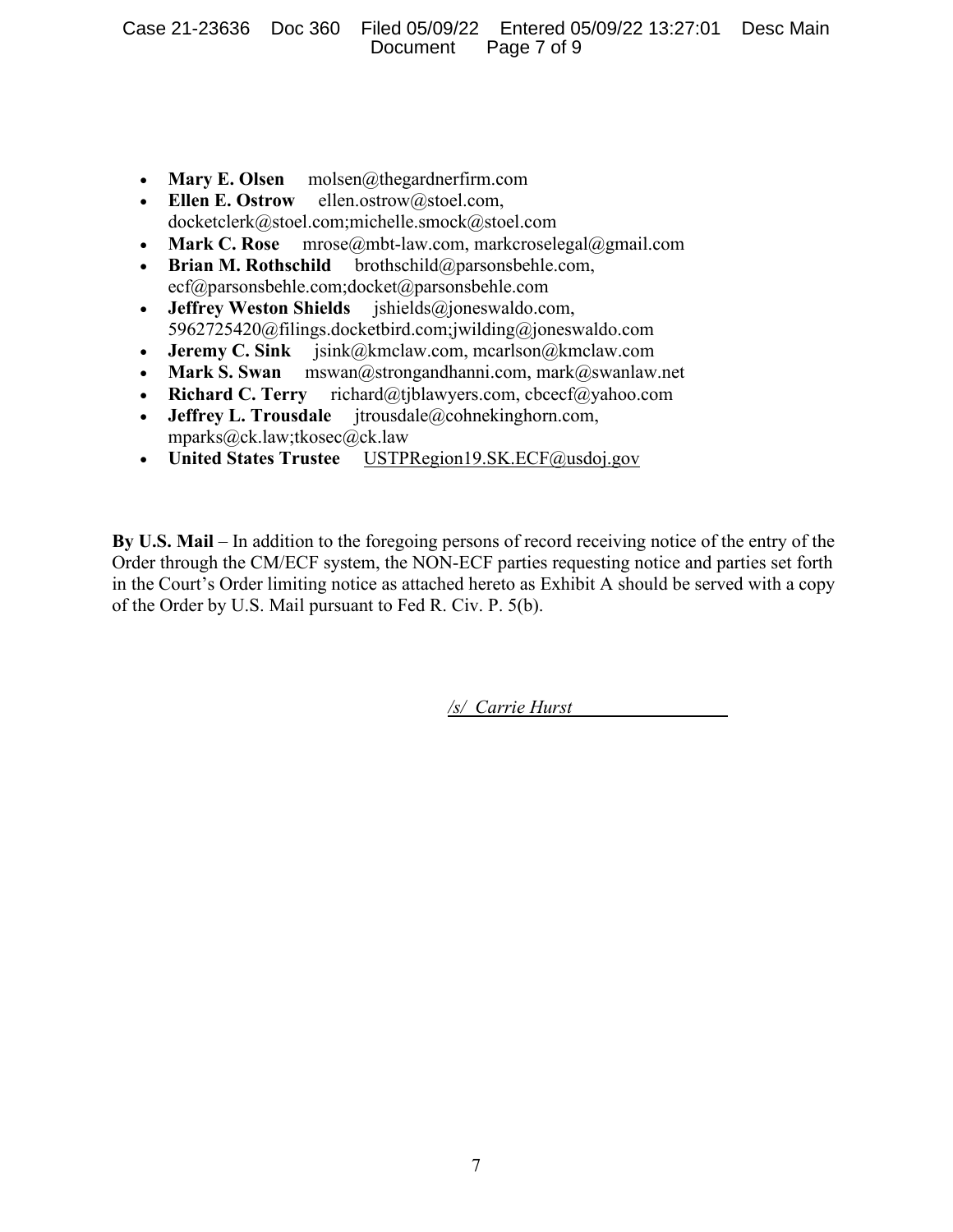- **Mary E. Olsen** molsen@thegardnerfirm.com
- **Ellen E. Ostrow** ellen.ostrow@stoel.com, docketclerk@stoel.com;michelle.smock@stoel.com
- **Mark C. Rose** mrose@mbt-law.com, markcroselegal@gmail.com
- **Brian M. Rothschild** brothschild@parsonsbehle.com, ecf@parsonsbehle.com;docket@parsonsbehle.com
- **Jeffrey Weston Shields** jshields@joneswaldo.com, 5962725420@filings.docketbird.com;jwilding@joneswaldo.com
- **Jeremy C. Sink** jsink@kmclaw.com, mcarlson@kmclaw.com
- **Mark S. Swan** mswan@strongandhanni.com, mark@swanlaw.net
- **Richard C. Terry** richard@tjblawyers.com, cbcecf@yahoo.com
- **Jeffrey L. Trousdale** jtrousdale@cohnekinghorn.com, mparks@ck.law;tkosec@ck.law
- **United States Trustee** USTPRegion19.SK.ECF@usdoj.gov

**By U.S. Mail** – In addition to the foregoing persons of record receiving notice of the entry of the Order through the CM/ECF system, the NON-ECF parties requesting notice and parties set forth in the Court's Order limiting notice as attached hereto as Exhibit A should be served with a copy of the Order by U.S. Mail pursuant to Fed R. Civ. P. 5(b).

*/s/ Carrie Hurst*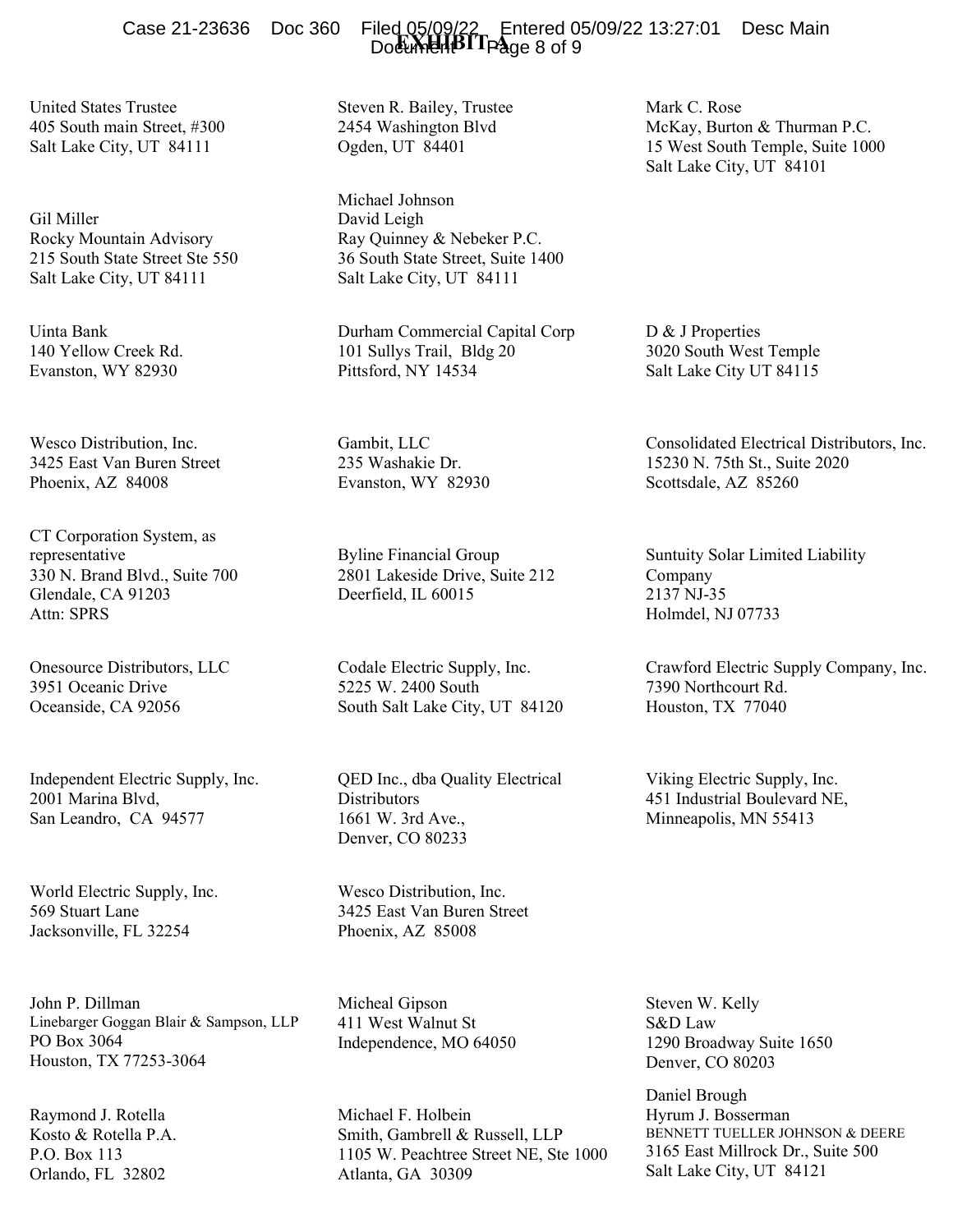Case 21-23636 Doc 360 Filed 05/09/22 Entered 05/09/22 13:27:01 Desc Main<br>Do<del>cument D</del>ocument Page 8 of 9

United States Trustee 405 South main Street, #300 Salt Lake City, UT 84111

Gil Miller Rocky Mountain Advisory 215 South State Street Ste 550 Salt Lake City, UT 84111

Uinta Bank 140 Yellow Creek Rd. Evanston, WY 82930

Wesco Distribution, Inc. 3425 East Van Buren Street Phoenix, AZ 84008

CT Corporation System, as representative 330 N. Brand Blvd., Suite 700 Glendale, CA 91203 Attn: SPRS

Onesource Distributors, LLC 3951 Oceanic Drive Oceanside, CA 92056

Independent Electric Supply, Inc. 2001 Marina Blvd, San Leandro, CA 94577

World Electric Supply, Inc. 569 Stuart Lane Jacksonville, FL 32254

John P. Dillman Linebarger Goggan Blair & Sampson, LLP PO Box 3064 Houston, TX 77253-3064

Raymond J. Rotella Kosto & Rotella P.A. P.O. Box 113 Orlando, FL 32802

Steven R. Bailey, Trustee 2454 Washington Blvd Ogden, UT 84401

Michael Johnson David Leigh Ray Quinney & Nebeker P.C. 36 South State Street, Suite 1400 Salt Lake City, UT 84111

Durham Commercial Capital Corp 101 Sullys Trail, Bldg 20 Pittsford, NY 14534

Gambit, LLC 235 Washakie Dr. Evanston, WY 82930

Byline Financial Group 2801 Lakeside Drive, Suite 212 Deerfield, IL 60015

Codale Electric Supply, Inc. 5225 W. 2400 South South Salt Lake City, UT 84120

QED Inc., dba Quality Electrical **Distributors** 1661 W. 3rd Ave., Denver, CO 80233

Wesco Distribution, Inc. 3425 East Van Buren Street Phoenix, AZ 85008

Micheal Gipson 411 West Walnut St Independence, MO 64050

Michael F. Holbein Smith, Gambrell & Russell, LLP 1105 W. Peachtree Street NE, Ste 1000 Atlanta, GA 30309

Mark C. Rose McKay, Burton & Thurman P.C. 15 West South Temple, Suite 1000 Salt Lake City, UT 84101

D & J Properties 3020 South West Temple Salt Lake City UT 84115

Consolidated Electrical Distributors, Inc. 15230 N. 75th St., Suite 2020 Scottsdale, AZ 85260

Suntuity Solar Limited Liability Company 2137 NJ-35 Holmdel, NJ 07733

Crawford Electric Supply Company, Inc. 7390 Northcourt Rd. Houston, TX 77040

Viking Electric Supply, Inc. 451 Industrial Boulevard NE, Minneapolis, MN 55413

Steven W. Kelly S&D Law 1290 Broadway Suite 1650 Denver, CO 80203

Daniel Brough Hyrum J. Bosserman BENNETT TUELLER JOHNSON & DEERE 3165 East Millrock Dr., Suite 500 Salt Lake City, UT 84121